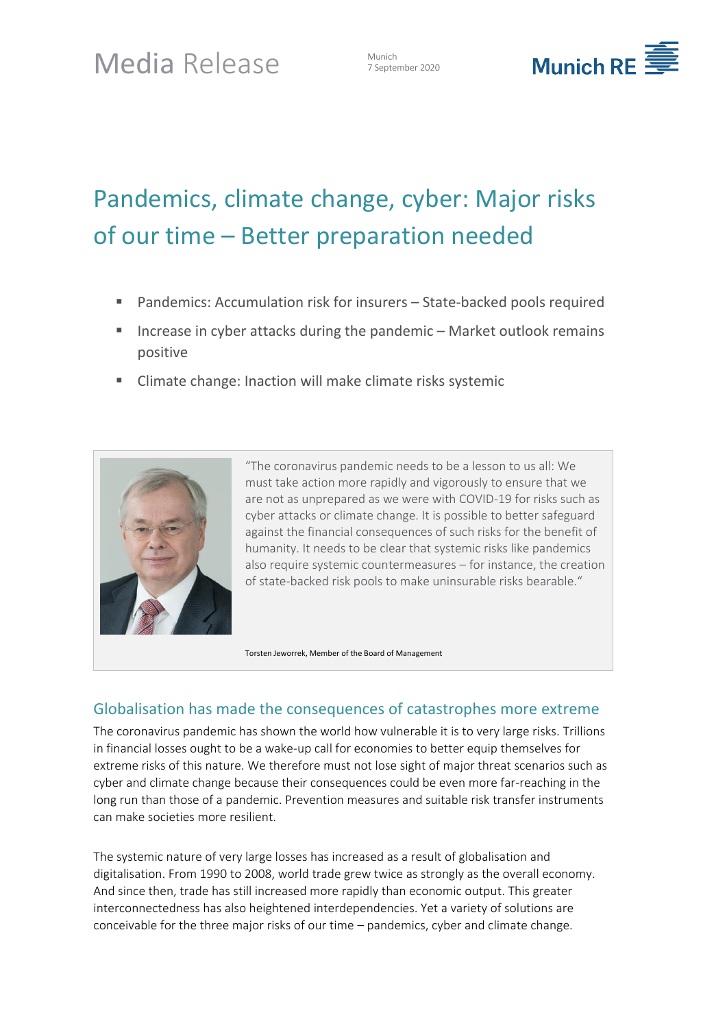7 September 2020



# Pandemics, climate change, cyber: Major risks of our time – Better preparation needed

- Pandemics: Accumulation risk for insurers State-backed pools required
- Increase in cyber attacks during the pandemic  $-$  Market outlook remains positive
- Climate change: Inaction will make climate risks systemic



"The coronavirus pandemic needs to be a lesson to us all: We must take action more rapidly and vigorously to ensure that we are not as unprepared as we were with COVID-19 for risks such as cyber attacks or climate change. It is possible to better safeguard against the financial consequences of such risks for the benefit of humanity. It needs to be clear that systemic risks like pandemics also require systemic countermeasures – for instance, the creation of state-backed risk pools to make uninsurable risks bearable."

Torsten Jeworrek, Member of the Board of Management

## Globalisation has made the consequences of catastrophes more extreme

The coronavirus pandemic has shown the world how vulnerable it is to very large risks. Trillions in financial losses ought to be a wake-up call for economies to better equip themselves for extreme risks of this nature. We therefore must not lose sight of major threat scenarios such as cyber and climate change because their consequences could be even more far-reaching in the long run than those of a pandemic. Prevention measures and suitable risk transfer instruments can make societies more resilient.

The systemic nature of very large losses has increased as a result of globalisation and digitalisation. From 1990 to 2008, world trade grew twice as strongly as the overall economy. And since then, trade has still increased more rapidly than economic output. This greater interconnectedness has also heightened interdependencies. Yet a variety of solutions are conceivable for the three major risks of our time – pandemics, cyber and climate change.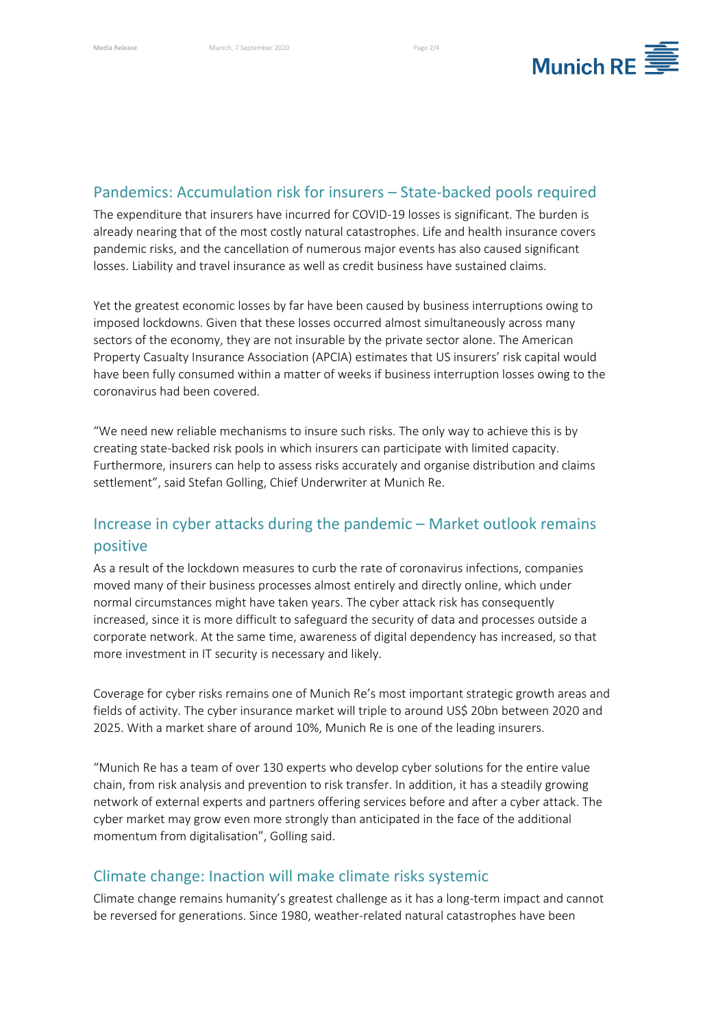

#### Pandemics: Accumulation risk for insurers – State-backed pools required

The expenditure that insurers have incurred for COVID-19 losses is significant. The burden is already nearing that of the most costly natural catastrophes. Life and health insurance covers pandemic risks, and the cancellation of numerous major events has also caused significant losses. Liability and travel insurance as well as credit business have sustained claims.

Yet the greatest economic losses by far have been caused by business interruptions owing to imposed lockdowns. Given that these losses occurred almost simultaneously across many sectors of the economy, they are not insurable by the private sector alone. The American Property Casualty Insurance Association (APCIA) estimates that US insurers' risk capital would have been fully consumed within a matter of weeks if business interruption losses owing to the coronavirus had been covered.

"We need new reliable mechanisms to insure such risks. The only way to achieve this is by creating state-backed risk pools in which insurers can participate with limited capacity. Furthermore, insurers can help to assess risks accurately and organise distribution and claims settlement", said Stefan Golling, Chief Underwriter at Munich Re.

# Increase in cyber attacks during the pandemic – Market outlook remains positive

As a result of the lockdown measures to curb the rate of coronavirus infections, companies moved many of their business processes almost entirely and directly online, which under normal circumstances might have taken years. The cyber attack risk has consequently increased, since it is more difficult to safeguard the security of data and processes outside a corporate network. At the same time, awareness of digital dependency has increased, so that more investment in IT security is necessary and likely.

Coverage for cyber risks remains one of Munich Re's most important strategic growth areas and fields of activity. The cyber insurance market will triple to around US\$ 20bn between 2020 and 2025. With a market share of around 10%, Munich Re is one of the leading insurers.

"Munich Re has a team of over 130 experts who develop cyber solutions for the entire value chain, from risk analysis and prevention to risk transfer. In addition, it has a steadily growing network of external experts and partners offering services before and after a cyber attack. The cyber market may grow even more strongly than anticipated in the face of the additional momentum from digitalisation", Golling said.

## Climate change: Inaction will make climate risks systemic

Climate change remains humanity's greatest challenge as it has a long-term impact and cannot be reversed for generations. Since 1980, weather-related natural catastrophes have been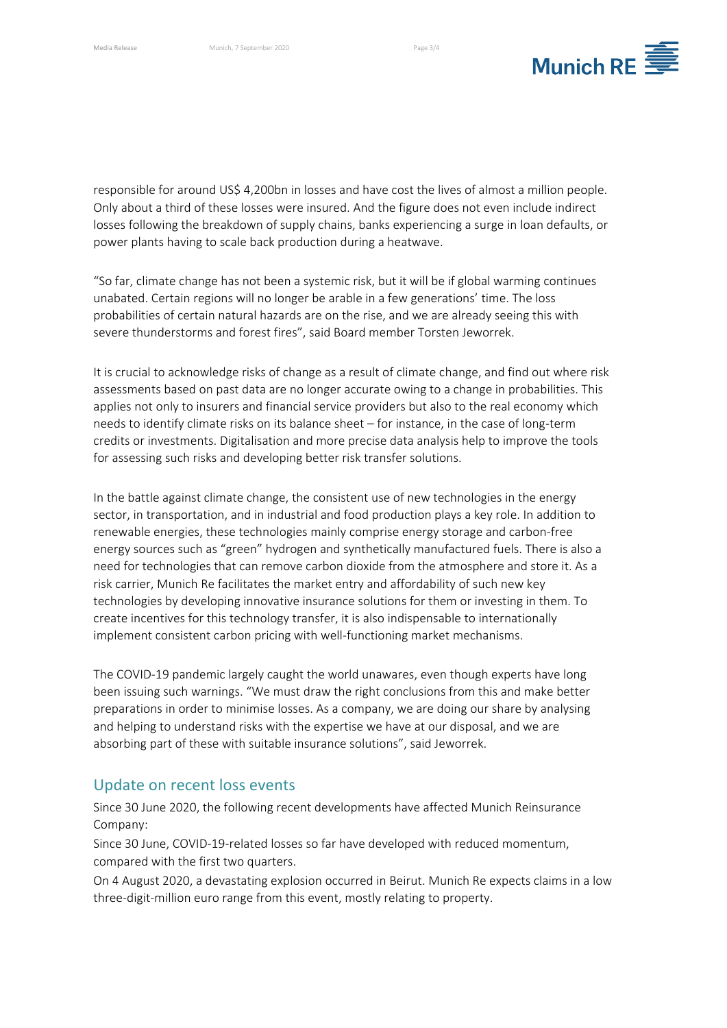

responsible for around US\$ 4,200bn in losses and have cost the lives of almost a million people. Only about a third of these losses were insured. And the figure does not even include indirect losses following the breakdown of supply chains, banks experiencing a surge in loan defaults, or power plants having to scale back production during a heatwave.

"So far, climate change has not been a systemic risk, but it will be if global warming continues unabated. Certain regions will no longer be arable in a few generations' time. The loss probabilities of certain natural hazards are on the rise, and we are already seeing this with severe thunderstorms and forest fires", said Board member Torsten Jeworrek.

It is crucial to acknowledge risks of change as a result of climate change, and find out where risk assessments based on past data are no longer accurate owing to a change in probabilities. This applies not only to insurers and financial service providers but also to the real economy which needs to identify climate risks on its balance sheet – for instance, in the case of long-term credits or investments. Digitalisation and more precise data analysis help to improve the tools for assessing such risks and developing better risk transfer solutions.

In the battle against climate change, the consistent use of new technologies in the energy sector, in transportation, and in industrial and food production plays a key role. In addition to renewable energies, these technologies mainly comprise energy storage and carbon-free energy sources such as "green" hydrogen and synthetically manufactured fuels. There is also a need for technologies that can remove carbon dioxide from the atmosphere and store it. As a risk carrier, Munich Re facilitates the market entry and affordability of such new key technologies by developing innovative insurance solutions for them or investing in them. To create incentives for this technology transfer, it is also indispensable to internationally implement consistent carbon pricing with well-functioning market mechanisms.

The COVID-19 pandemic largely caught the world unawares, even though experts have long been issuing such warnings. "We must draw the right conclusions from this and make better preparations in order to minimise losses. As a company, we are doing our share by analysing and helping to understand risks with the expertise we have at our disposal, and we are absorbing part of these with suitable insurance solutions", said Jeworrek.

### Update on recent loss events

Since 30 June 2020, the following recent developments have affected Munich Reinsurance Company:

Since 30 June, COVID-19-related losses so far have developed with reduced momentum, compared with the first two quarters.

On 4 August 2020, a devastating explosion occurred in Beirut. Munich Re expects claims in a low three-digit-million euro range from this event, mostly relating to property.